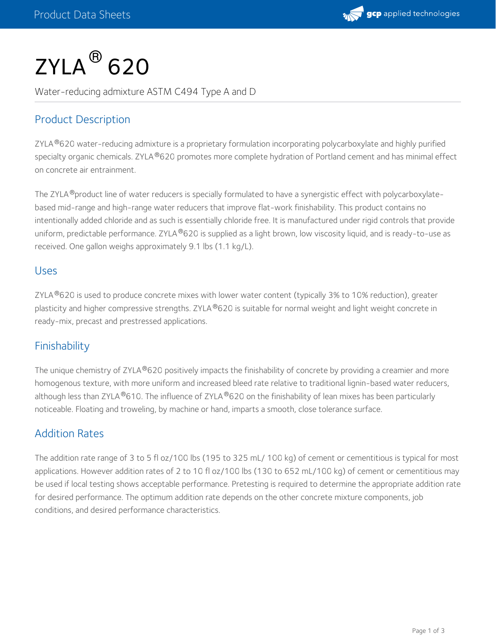

# $\mathsf{ZYLA}^{\circledR}\,$  620

Water-reducing admixture ASTM C494 Type A and D

# Product Description

ZYLA®620 water-reducing admixture is a proprietary formulation incorporating polycarboxylate and highly purified specialty organic chemicals. ZYLA®620 promotes more complete hydration of Portland cement and has minimal effect on concrete air entrainment.

The ZYLA ®product line of water reducers is specially formulated to have a synergistic effect with polycarboxylatebased mid-range and high-range water reducers that improve flat-work finishability. This product contains no intentionally added chloride and as such is essentially chloride free. It is manufactured under rigid controls that provide uniform, predictable performance. ZYLA®620 is supplied as a light brown, low viscosity liquid, and is ready-to-use as received. One gallon weighs approximately 9.1 lbs (1.1 kg/L).

#### Uses

ZYLA $^{\circledR}$ 620 is used to produce concrete mixes with lower water content (typically 3% to 10% reduction), greater plasticity and higher compressive strengths. ZYLA®620 is suitable for normal weight and light weight concrete in ready-mix, precast and prestressed applications.

## **Finishability**

The unique chemistry of ZYLA®620 positively impacts the finishability of concrete by providing a creamier and more homogenous texture, with more uniform and increased bleed rate relative to traditional lignin-based water reducers, although less than ZYLA®610. The influence of ZYLA®620 on the finishability of lean mixes has been particularly noticeable. Floating and troweling, by machine or hand, imparts a smooth, close tolerance surface.

## Addition Rates

The addition rate range of 3 to 5 fl oz/100 lbs (195 to 325 mL/ 100 kg) of cement or cementitious is typical for most applications. However addition rates of 2 to 10 fl oz/100 lbs (130 to 652 mL/100 kg) of cement or cementitious may be used if local testing shows acceptable performance. Pretesting is required to determine the appropriate addition rate for desired performance. The optimum addition rate depends on the other concrete mixture components, job conditions, and desired performance characteristics.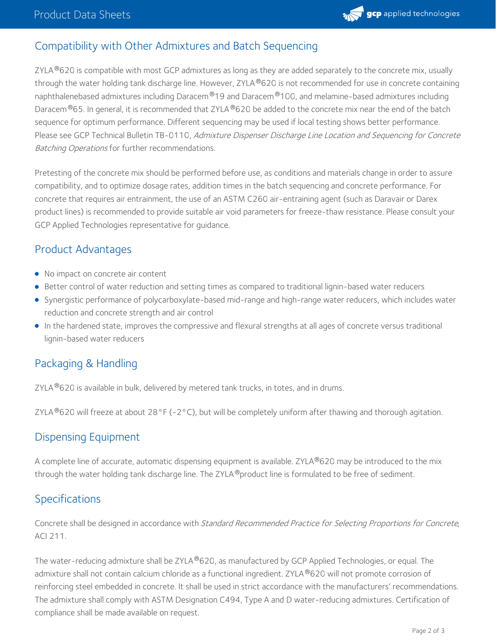

# Compatibility with Other Admixtures and Batch Sequencing

ZYLA $^{\circledR}$ 620 is compatible with most GCP admixtures as long as they are added separately to the concrete mix, usually through the water holding tank discharge line. However, ZYLA®620 is not recommended for use in concrete containing naphthalenebased admixtures including Daracem®19 and Daracem®100, and melamine-based admixtures including Daracem $^\circledR$ 65. In general, it is recommended that ZYLA $^\circledR$ 620 be added to the concrete mix near the end of the batch sequence for optimum performance. Different sequencing may be used if local testing shows better performance. Please see GCP Technical Bulletin TB-0110, Admixture Dispenser Discharge Line Location and Sequencing for Concrete Batching Operations for further recommendations.

Pretesting of the concrete mix should be performed before use, as conditions and materials change in order to assure compatibility, and to optimize dosage rates, addition times in the batch sequencing and concrete performance. For concrete that requires air entrainment, the use of an ASTM C260 air-entraining agent (such as Daravair or Darex product lines) is recommended to provide suitable air void parameters for freeze-thaw resistance. Please consult your GCP Applied Technologies representative for guidance.

## Product Advantages

- No impact on concrete air content
- **Better control of water reduction and setting times as compared to traditional lignin-based water reducers**
- Synergistic performance of polycarboxylate-based mid-range and high-range water reducers, which includes water reduction and concrete strength and air control
- In the hardened state, improves the compressive and flexural strengths at all ages of concrete versus traditional lignin-based water reducers

# Packaging & Handling

ZYLA $^\circledR$ 620 is available in bulk, delivered by metered tank trucks, in totes, and in drums.

ZYLA ®620 will freeze at about 28°F (-2°C), but will be completely uniform after thawing and thorough agitation.

## Dispensing Equipment

A complete line of accurate, automatic dispensing equipment is available. ZYLA®620 may be introduced to the mix through the water holding tank discharge line. The ZYLA  $^\circledR$ product line is formulated to be free of sediment.

## Specifications

Concrete shall be designed in accordance with Standard Recommended Practice for Selecting Proportions for Concrete, ACI 211.

The water-reducing admixture shall be ZYLA®620, as manufactured by GCP Applied Technologies, or equal. The admixture shall not contain calcium chloride as a functional ingredient. ZYLA®620 will not promote corrosion of reinforcing steel embedded in concrete. It shall be used in strict accordance with the manufacturers' recommendations. The admixture shall comply with ASTM Designation C494, Type A and D water-reducing admixtures. Certification of compliance shall be made available on request.